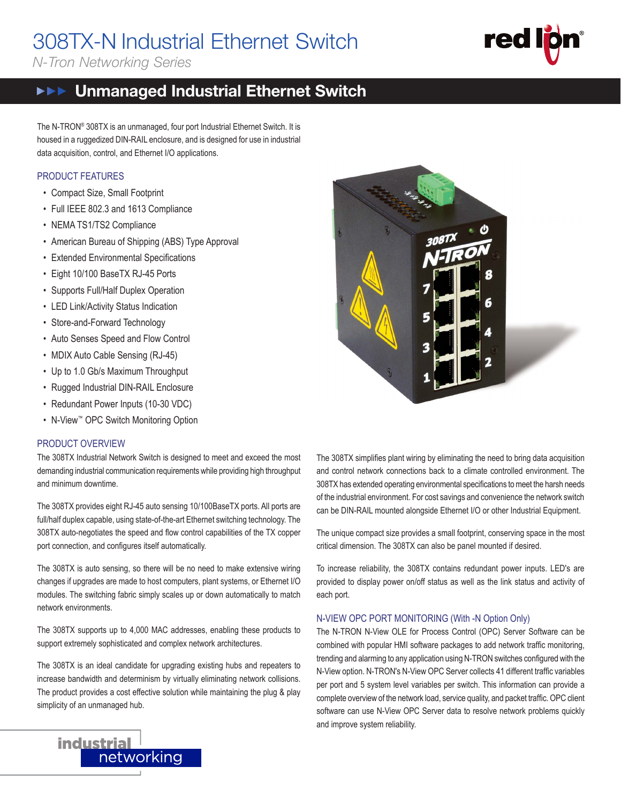# 308TX-N Industrial Ethernet Switch

*N-Tron Networking Series*



#### Unmanaged Industrial Ethernet Switch **NEE THE INDUSTRIAL NETWORK COMPANY**

The N-TRON® 308TX is an unmanaged, four port Industrial Ethernet Switch. It is housed in a ruggedized DIN-RAIL enclosure, and is designed for use in industrial data acquisition, control, and Ethernet I/O applications.

#### PRODUCT FEATURES

- Compact Size, Small Footprint
- Full IEEE 802.3 and 1613 Compliance
- NEMA TS1/TS2 Compliance
- American Bureau of Shipping (ABS) Type Approval
- Extended Environmental Specifications
- Eight 10/100 BaseTX RJ-45 Ports
- Supports Full/Half Duplex Operation
- LED Link/Activity Status Indication
- Store-and-Forward Technology
- Auto Senses Speed and Flow Control
- MDIX Auto Cable Sensing (RJ-45)
- Up to 1.0 Gb/s Maximum Throughput
- Rugged Industrial DIN-RAIL Enclosure
- Redundant Power Inputs (10-30 VDC)
- N-View™ OPC Switch Monitoring Option

#### PRODUCT OVERVIEW

The 308TX Industrial Network Switch is designed to meet and exceed the most demanding industrial communication requirements while providing high throughput and minimum downtime.

The 308TX provides eight RJ-45 auto sensing 10/100BaseTX ports. All ports are full/half duplex capable, using state-of-the-art Ethernet switching technology. The 308TX auto-negotiates the speed and flow control capabilities of the TX copper port connection, and configures itself automatically.

The 308TX is auto sensing, so there will be no need to make extensive wiring changes if upgrades are made to host computers, plant systems, or Ethernet I/O modules. The switching fabric simply scales up or down automatically to match network environments.

The 308TX supports up to 4,000 MAC addresses, enabling these products to support extremely sophisticated and complex network architectures.

The 308TX is an ideal candidate for upgrading existing hubs and repeaters to increase bandwidth and determinism by virtually eliminating network collisions. The product provides a cost effective solution while maintaining the plug & play simplicity of an unmanaged hub.



The 308TX simplifies plant wiring by eliminating the need to bring data acquisition and control network connections back to a climate controlled environment. The 308TX has extended operating environmental specifications to meet the harsh needs of the industrial environment. For cost savings and convenience the network switch can be DIN-RAIL mounted alongside Ethernet I/O or other Industrial Equipment.

The unique compact size provides a small footprint, conserving space in the most critical dimension. The 308TX can also be panel mounted if desired.

To increase reliability, the 308TX contains redundant power inputs. LED's are provided to display power on/off status as well as the link status and activity of each port.

#### N-VIEW OPC PORT MONITORING (With -N Option Only)

The N-TRON N-View OLE for Process Control (OPC) Server Software can be combined with popular HMI software packages to add network traffic monitoring, trending and alarming to any application using N-TRON switches configured with the N-View option. N-TRON's N-View OPC Server collects 41 different traffic variables per port and 5 system level variables per switch. This information can provide a complete overview of the network load, service quality, and packet traffic. OPC client software can use N-View OPC Server data to resolve network problems quickly and improve system reliability.

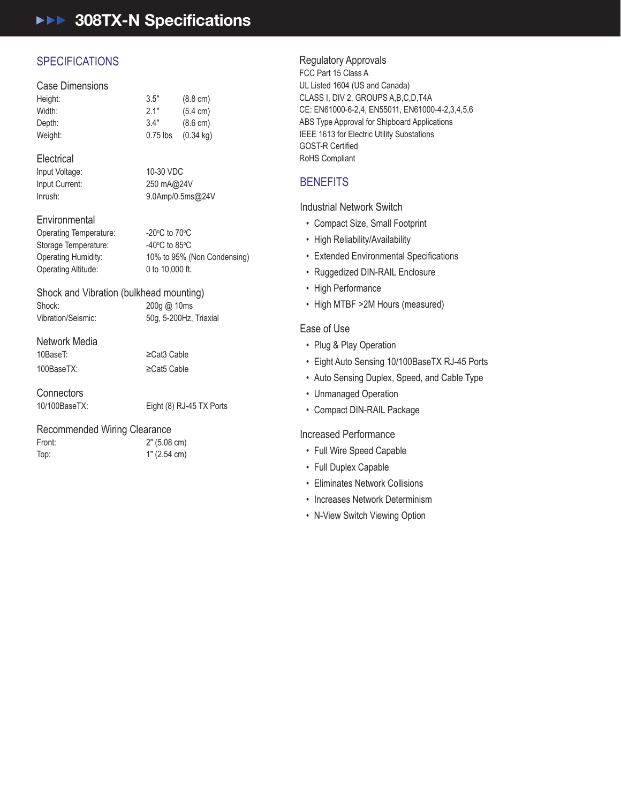# **AFF 308TX-N Specifications**

# **SPECIFICATIONS**

#### Case Dimensions

| Height: | 3.5"       | $(8.8 \text{ cm})$  |
|---------|------------|---------------------|
| Width:  | 2.1"       | $(5.4 \text{ cm})$  |
| Depth:  | 3.4"       | $(8.6 \text{ cm})$  |
| Weight: | $0.75$ lbs | $(0.34 \text{ kg})$ |
|         |            |                     |

#### **Electrical**

Input Voltage: 10-30 VDC Inrush: 9.0Amp/0.5ms@24V Input Current:

#### Environmental

Operating Temperature: -20°C to 70°C C to 70 $\mathrm{^{\circ}C}$ Storage Temperature: 40°C to 85°C C to 85 $\rm ^{o}$ C 10% to 95% (Non Condensing) Operating Altitude: 0 to 10,000 ft. Operating Humidity:

250 mA@24V

Shock and Vibration (bulkhead mounting) Shock: 200g @ 10ms 50g, 5-200Hz, Triaxial Vibration/Seismic:

Network Media 10BaseT:

10BaseT: ≥Cat3 Cable 100BaseTX: ≥Cat5 Cable

Connectors **Connectors** 

| "```````````````````````````````` |                          |
|-----------------------------------|--------------------------|
| 10/100BaseTX:                     | Eight (8) RJ-45 TX Ports |
|                                   |                          |

 $>Cat5$ 

# Recommended Wiring Clearance

Network Media

Front:  $2^{\circ}$  (5.08 cm) Top: 1" (2.54 cm)

# Regulatory Approvals

UL Listed 1604 (US and Canada) • Compact Size, Small Footprint CE: EN61000-6-2,4, EN55011, EN61000-4-2,3,4,5,6 ABS Type Approval for Shipboard Applications IEEE 1613 for Electric Utility Substations • Ruggedized DIN-RAIL Enclosure RoHS Compliant • High Performance FCC Part 15 Class A CLASS I, DIV 2, GROUPS A,B,C,D,T4A **GOST-R Certified** 

Top: 1" (2.54 cm)

# **BENEFITS** and the american of the set of the set of the set of the set of the set of the set of the set of the set of the set of the set of the set of the set of the set of the set of the set of the set of the set of the

Industrial Network Switch

- Compact Size, Small Footprint
- High Reliability/Availability
- Extended Environmental Specifications
- Ruggedized DIN-RAIL Enclosure
- High Performance
- Increased Performance • High MTBF >2M Hours (measured)

### Ease of Use

- Plug & Play Operation
- Eight Auto Sensing 10/100BaseTX RJ-45 Ports
- Auto Sensing Duplex, Speed, and Cable Type
- Unmanaged Operation
- Compact DIN-RAIL Package

#### Increased Performance

- Full Wire Speed Capable
- Full Duplex Capable
- Eliminates Network Collisions
- Increases Network Determinism
- N-View Switch Viewing Option